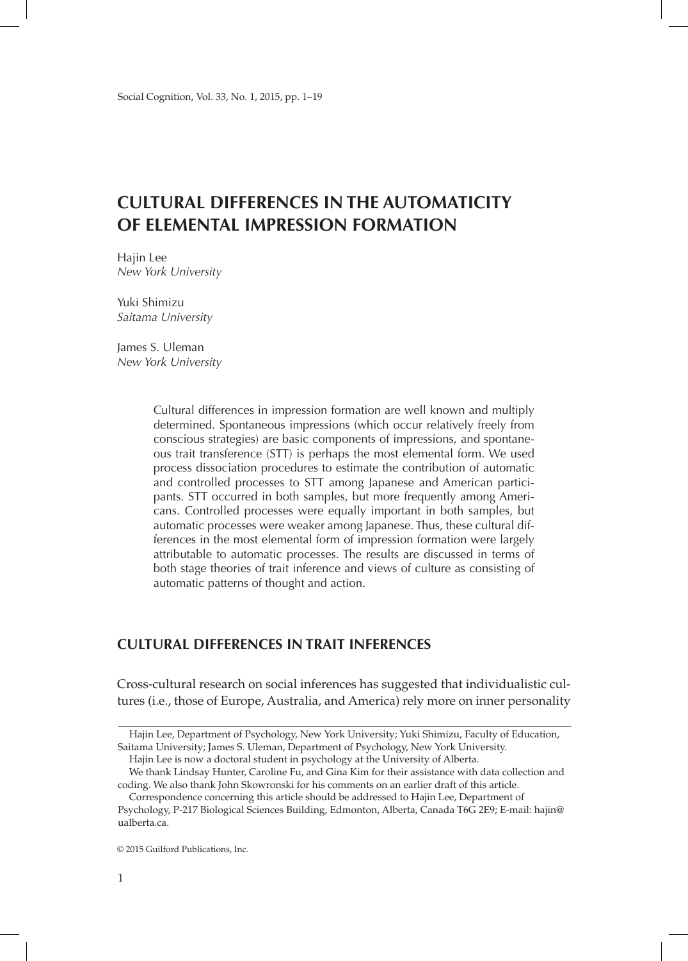# **Cultural Differences in the Automaticity of Elemental Impression Formation**

Hajin Lee *New York University*

Yuki Shimizu *Saitama University*

James S. Uleman *New York University*

> Cultural differences in impression formation are well known and multiply determined. Spontaneous impressions (which occur relatively freely from conscious strategies) are basic components of impressions, and spontaneous trait transference (STT) is perhaps the most elemental form. We used process dissociation procedures to estimate the contribution of automatic and controlled processes to STT among Japanese and American participants. STT occurred in both samples, but more frequently among Americans. Controlled processes were equally important in both samples, but automatic processes were weaker among Japanese. Thus, these cultural differences in the most elemental form of impression formation were largely attributable to automatic processes. The results are discussed in terms of both stage theories of trait inference and views of culture as consisting of automatic patterns of thought and action.

# **Cultural Differences in Trait Inferences**

Cross-cultural research on social inferences has suggested that individualistic cultures (i.e., those of Europe, Australia, and America) rely more on inner personality

Hajin Lee is now a doctoral student in psychology at the University of Alberta.

We thank Lindsay Hunter, Caroline Fu, and Gina Kim for their assistance with data collection and coding. We also thank John Skowronski for his comments on an earlier draft of this article.

© 2015 Guilford Publications, Inc.

Hajin Lee, Department of Psychology, New York University; Yuki Shimizu, Faculty of Education, Saitama University; James S. Uleman, Department of Psychology, New York University.

Correspondence concerning this article should be addressed to Hajin Lee, Department of Psychology, P-217 Biological Sciences Building, Edmonton, Alberta, Canada T6G 2E9; E-mail: hajin@ ualberta.ca.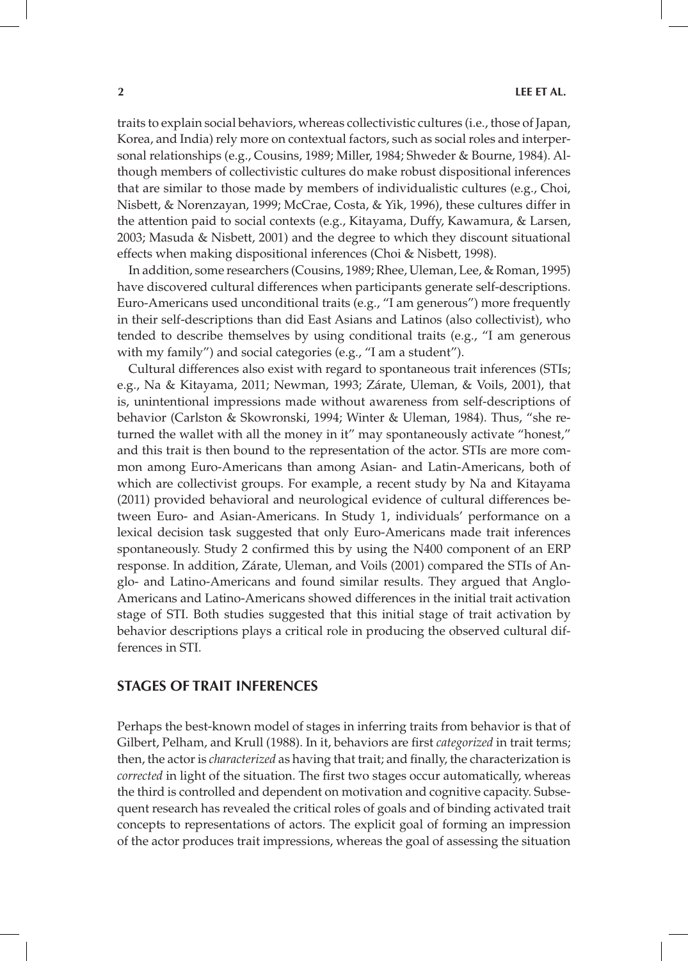traits to explain social behaviors, whereas collectivistic cultures (i.e., those of Japan, Korea, and India) rely more on contextual factors, such as social roles and interpersonal relationships (e.g., Cousins, 1989; Miller, 1984; Shweder & Bourne, 1984). Although members of collectivistic cultures do make robust dispositional inferences that are similar to those made by members of individualistic cultures (e.g., Choi, Nisbett, & Norenzayan, 1999; McCrae, Costa, & Yik, 1996), these cultures differ in the attention paid to social contexts (e.g., Kitayama, Duffy, Kawamura, & Larsen, 2003; Masuda & Nisbett, 2001) and the degree to which they discount situational effects when making dispositional inferences (Choi & Nisbett, 1998).

In addition, some researchers (Cousins, 1989; Rhee, Uleman, Lee, & Roman, 1995) have discovered cultural differences when participants generate self-descriptions. Euro-Americans used unconditional traits (e.g., "I am generous") more frequently in their self-descriptions than did East Asians and Latinos (also collectivist), who tended to describe themselves by using conditional traits (e.g., "I am generous with my family") and social categories (e.g., "I am a student").

Cultural differences also exist with regard to spontaneous trait inferences (STIs; e.g., Na & Kitayama, 2011; Newman, 1993; Zárate, Uleman, & Voils, 2001), that is, unintentional impressions made without awareness from self-descriptions of behavior (Carlston & Skowronski, 1994; Winter & Uleman, 1984). Thus, "she returned the wallet with all the money in it" may spontaneously activate "honest," and this trait is then bound to the representation of the actor. STIs are more common among Euro-Americans than among Asian- and Latin-Americans, both of which are collectivist groups. For example, a recent study by Na and Kitayama (2011) provided behavioral and neurological evidence of cultural differences between Euro- and Asian-Americans. In Study 1, individuals' performance on a lexical decision task suggested that only Euro-Americans made trait inferences spontaneously. Study 2 confirmed this by using the N400 component of an ERP response. In addition, Zárate, Uleman, and Voils (2001) compared the STIs of Anglo- and Latino-Americans and found similar results. They argued that Anglo-Americans and Latino-Americans showed differences in the initial trait activation stage of STI. Both studies suggested that this initial stage of trait activation by behavior descriptions plays a critical role in producing the observed cultural differences in STI.

# **Stages of Trait Inferences**

Perhaps the best-known model of stages in inferring traits from behavior is that of Gilbert, Pelham, and Krull (1988). In it, behaviors are first *categorized* in trait terms; then, the actor is *characterized* as having that trait; and finally, the characterization is *corrected* in light of the situation. The first two stages occur automatically, whereas the third is controlled and dependent on motivation and cognitive capacity. Subsequent research has revealed the critical roles of goals and of binding activated trait concepts to representations of actors. The explicit goal of forming an impression of the actor produces trait impressions, whereas the goal of assessing the situation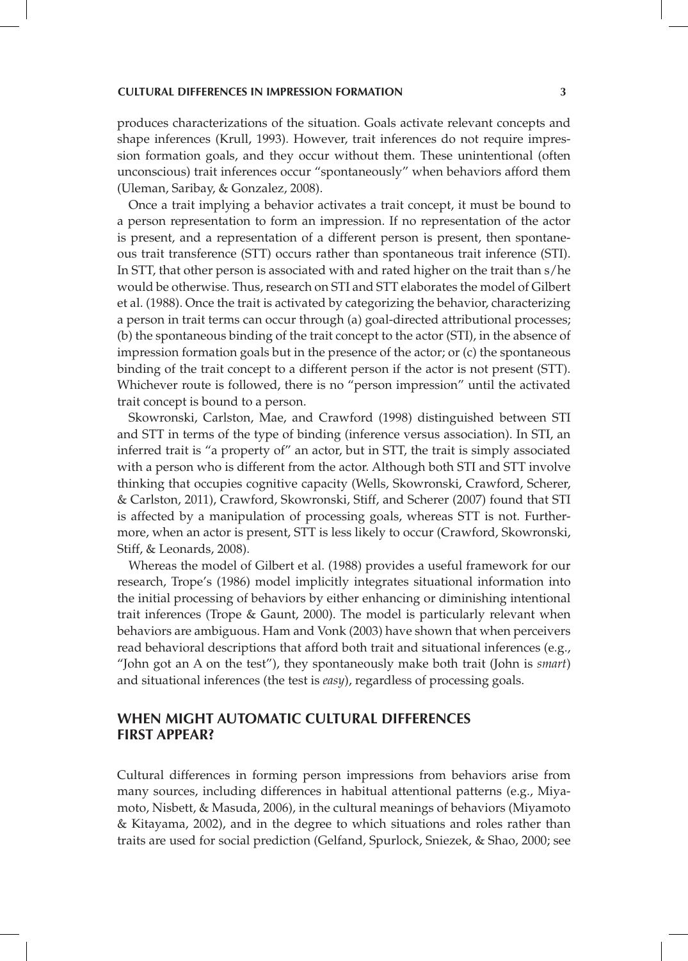produces characterizations of the situation. Goals activate relevant concepts and shape inferences (Krull, 1993). However, trait inferences do not require impression formation goals, and they occur without them. These unintentional (often unconscious) trait inferences occur "spontaneously" when behaviors afford them (Uleman, Saribay, & Gonzalez, 2008).

Once a trait implying a behavior activates a trait concept, it must be bound to a person representation to form an impression. If no representation of the actor is present, and a representation of a different person is present, then spontaneous trait transference (STT) occurs rather than spontaneous trait inference (STI). In STT, that other person is associated with and rated higher on the trait than s/he would be otherwise. Thus, research on STI and STT elaborates the model of Gilbert et al. (1988). Once the trait is activated by categorizing the behavior, characterizing a person in trait terms can occur through (a) goal-directed attributional processes; (b) the spontaneous binding of the trait concept to the actor (STI), in the absence of impression formation goals but in the presence of the actor; or (c) the spontaneous binding of the trait concept to a different person if the actor is not present (STT). Whichever route is followed, there is no "person impression" until the activated trait concept is bound to a person.

Skowronski, Carlston, Mae, and Crawford (1998) distinguished between STI and STT in terms of the type of binding (inference versus association). In STI, an inferred trait is "a property of" an actor, but in STT, the trait is simply associated with a person who is different from the actor. Although both STI and STT involve thinking that occupies cognitive capacity (Wells, Skowronski, Crawford, Scherer, & Carlston, 2011), Crawford, Skowronski, Stiff, and Scherer (2007) found that STI is affected by a manipulation of processing goals, whereas STT is not. Furthermore, when an actor is present, STT is less likely to occur (Crawford, Skowronski, Stiff, & Leonards, 2008).

Whereas the model of Gilbert et al. (1988) provides a useful framework for our research, Trope's (1986) model implicitly integrates situational information into the initial processing of behaviors by either enhancing or diminishing intentional trait inferences (Trope & Gaunt, 2000). The model is particularly relevant when behaviors are ambiguous. Ham and Vonk (2003) have shown that when perceivers read behavioral descriptions that afford both trait and situational inferences (e.g., "John got an A on the test"), they spontaneously make both trait (John is *smart*) and situational inferences (the test is *easy*), regardless of processing goals.

# **When Might Automatic Cultural Differences First Appear?**

Cultural differences in forming person impressions from behaviors arise from many sources, including differences in habitual attentional patterns (e.g., Miyamoto, Nisbett, & Masuda, 2006), in the cultural meanings of behaviors (Miyamoto & Kitayama, 2002), and in the degree to which situations and roles rather than traits are used for social prediction (Gelfand, Spurlock, Sniezek, & Shao, 2000; see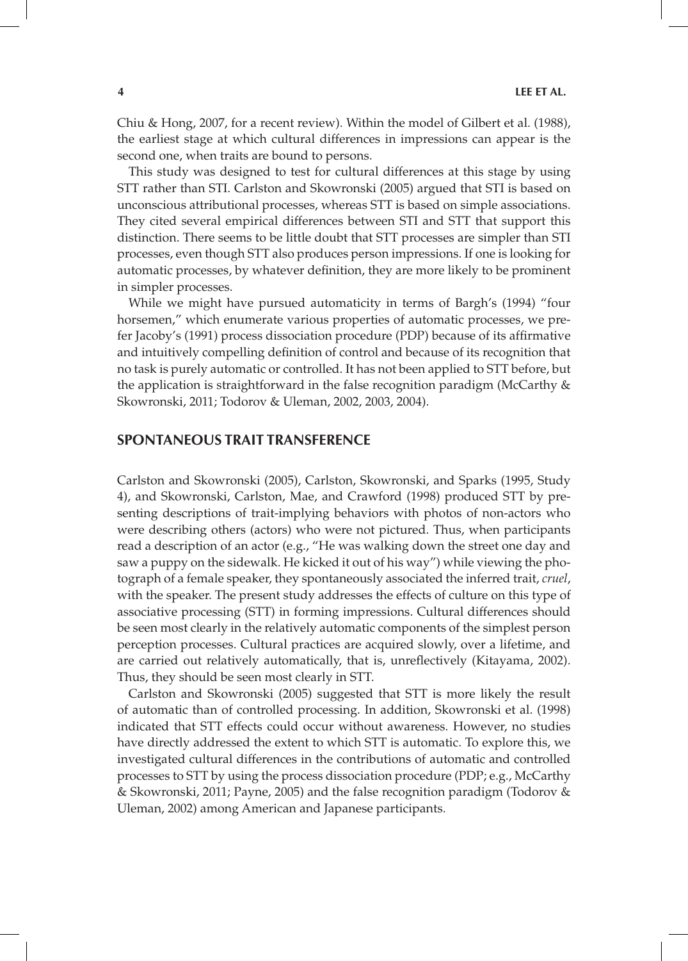Chiu & Hong, 2007, for a recent review). Within the model of Gilbert et al. (1988), the earliest stage at which cultural differences in impressions can appear is the second one, when traits are bound to persons.

This study was designed to test for cultural differences at this stage by using STT rather than STI. Carlston and Skowronski (2005) argued that STI is based on unconscious attributional processes, whereas STT is based on simple associations. They cited several empirical differences between STI and STT that support this distinction. There seems to be little doubt that STT processes are simpler than STI processes, even though STT also produces person impressions. If one is looking for automatic processes, by whatever definition, they are more likely to be prominent in simpler processes.

While we might have pursued automaticity in terms of Bargh's (1994) "four horsemen," which enumerate various properties of automatic processes, we prefer Jacoby's (1991) process dissociation procedure (PDP) because of its affirmative and intuitively compelling definition of control and because of its recognition that no task is purely automatic or controlled. It has not been applied to STT before, but the application is straightforward in the false recognition paradigm (McCarthy & Skowronski, 2011; Todorov & Uleman, 2002, 2003, 2004).

### **Spontaneous Trait Transference**

Carlston and Skowronski (2005), Carlston, Skowronski, and Sparks (1995, Study 4), and Skowronski, Carlston, Mae, and Crawford (1998) produced STT by presenting descriptions of trait-implying behaviors with photos of non-actors who were describing others (actors) who were not pictured. Thus, when participants read a description of an actor (e.g., "He was walking down the street one day and saw a puppy on the sidewalk. He kicked it out of his way") while viewing the photograph of a female speaker, they spontaneously associated the inferred trait, *cruel*, with the speaker. The present study addresses the effects of culture on this type of associative processing (STT) in forming impressions. Cultural differences should be seen most clearly in the relatively automatic components of the simplest person perception processes. Cultural practices are acquired slowly, over a lifetime, and are carried out relatively automatically, that is, unreflectively (Kitayama, 2002). Thus, they should be seen most clearly in STT.

Carlston and Skowronski (2005) suggested that STT is more likely the result of automatic than of controlled processing. In addition, Skowronski et al. (1998) indicated that STT effects could occur without awareness. However, no studies have directly addressed the extent to which STT is automatic. To explore this, we investigated cultural differences in the contributions of automatic and controlled processes to STT by using the process dissociation procedure (PDP; e.g., McCarthy & Skowronski, 2011; Payne, 2005) and the false recognition paradigm (Todorov & Uleman, 2002) among American and Japanese participants.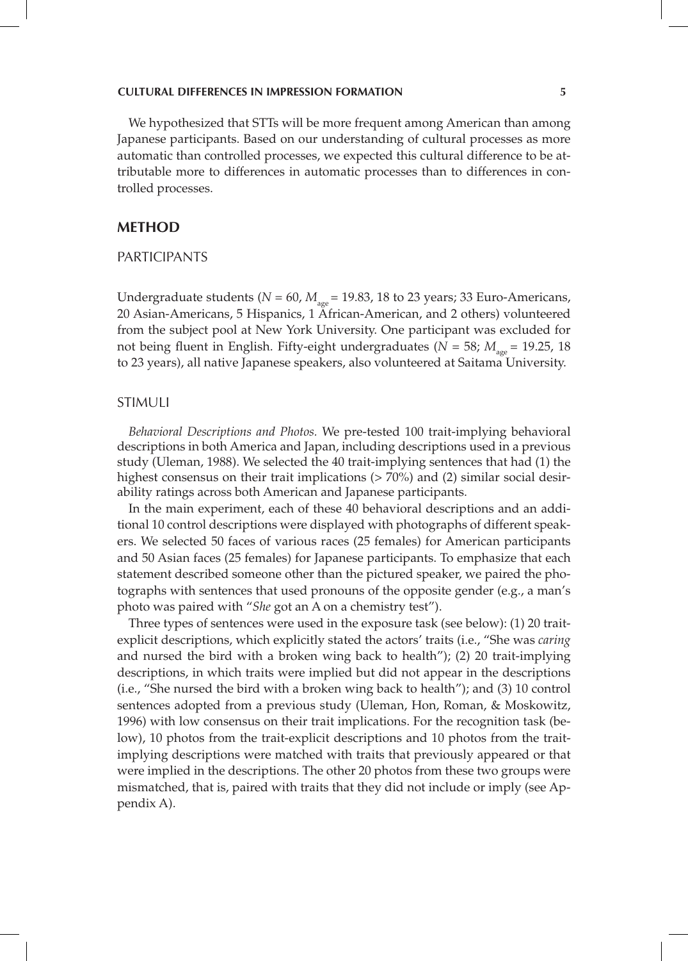We hypothesized that STTs will be more frequent among American than among Japanese participants. Based on our understanding of cultural processes as more automatic than controlled processes, we expected this cultural difference to be attributable more to differences in automatic processes than to differences in controlled processes.

### **Method**

### **PARTICIPANTS**

Undergraduate students ( $N = 60$ ,  $M_{\text{age}} = 19.83$ , 18 to 23 years; 33 Euro-Americans, 20 Asian-Americans, 5 Hispanics, 1 African-American, and 2 others) volunteered from the subject pool at New York University. One participant was excluded for not being fluent in English. Fifty-eight undergraduates ( $N = 58$ ;  $M_{\text{age}} = 19.25$ , 18 to 23 years), all native Japanese speakers, also volunteered at Saitama University.

#### **STIMULI**

*Behavioral Descriptions and Photos.* We pre-tested 100 trait-implying behavioral descriptions in both America and Japan, including descriptions used in a previous study (Uleman, 1988). We selected the 40 trait-implying sentences that had (1) the highest consensus on their trait implications (> 70%) and (2) similar social desirability ratings across both American and Japanese participants.

In the main experiment, each of these 40 behavioral descriptions and an additional 10 control descriptions were displayed with photographs of different speakers. We selected 50 faces of various races (25 females) for American participants and 50 Asian faces (25 females) for Japanese participants. To emphasize that each statement described someone other than the pictured speaker, we paired the photographs with sentences that used pronouns of the opposite gender (e.g., a man's photo was paired with "*She* got an A on a chemistry test").

Three types of sentences were used in the exposure task (see below): (1) 20 traitexplicit descriptions, which explicitly stated the actors' traits (i.e., "She was *caring* and nursed the bird with a broken wing back to health"); (2) 20 trait-implying descriptions, in which traits were implied but did not appear in the descriptions (i.e., "She nursed the bird with a broken wing back to health"); and (3) 10 control sentences adopted from a previous study (Uleman, Hon, Roman, & Moskowitz, 1996) with low consensus on their trait implications. For the recognition task (below), 10 photos from the trait-explicit descriptions and 10 photos from the traitimplying descriptions were matched with traits that previously appeared or that were implied in the descriptions. The other 20 photos from these two groups were mismatched, that is, paired with traits that they did not include or imply (see Appendix A).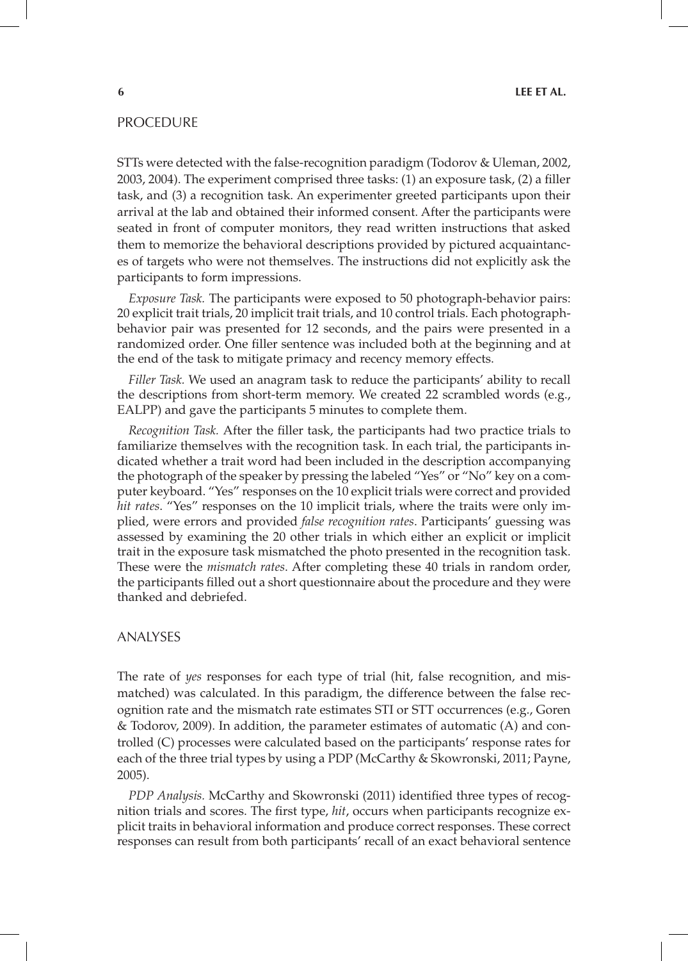### **PROCEDURE**

STTs were detected with the false-recognition paradigm (Todorov & Uleman, 2002, 2003, 2004). The experiment comprised three tasks: (1) an exposure task, (2) a filler task, and (3) a recognition task. An experimenter greeted participants upon their arrival at the lab and obtained their informed consent. After the participants were seated in front of computer monitors, they read written instructions that asked them to memorize the behavioral descriptions provided by pictured acquaintances of targets who were not themselves. The instructions did not explicitly ask the participants to form impressions.

*Exposure Task.* The participants were exposed to 50 photograph-behavior pairs: 20 explicit trait trials, 20 implicit trait trials, and 10 control trials. Each photographbehavior pair was presented for 12 seconds, and the pairs were presented in a randomized order. One filler sentence was included both at the beginning and at the end of the task to mitigate primacy and recency memory effects.

*Filler Task.* We used an anagram task to reduce the participants' ability to recall the descriptions from short-term memory. We created 22 scrambled words (e.g., EALPP) and gave the participants 5 minutes to complete them.

*Recognition Task.* After the filler task, the participants had two practice trials to familiarize themselves with the recognition task. In each trial, the participants indicated whether a trait word had been included in the description accompanying the photograph of the speaker by pressing the labeled "Yes" or "No" key on a computer keyboard. "Yes" responses on the 10 explicit trials were correct and provided *hit rates*. "Yes" responses on the 10 implicit trials, where the traits were only implied, were errors and provided *false recognition rates*. Participants' guessing was assessed by examining the 20 other trials in which either an explicit or implicit trait in the exposure task mismatched the photo presented in the recognition task. These were the *mismatch rates*. After completing these 40 trials in random order, the participants filled out a short questionnaire about the procedure and they were thanked and debriefed.

#### Analyses

The rate of *yes* responses for each type of trial (hit, false recognition, and mismatched) was calculated. In this paradigm, the difference between the false recognition rate and the mismatch rate estimates STI or STT occurrences (e.g., Goren & Todorov, 2009). In addition, the parameter estimates of automatic (A) and controlled (C) processes were calculated based on the participants' response rates for each of the three trial types by using a PDP (McCarthy & Skowronski, 2011; Payne, 2005).

*PDP Analysis.* McCarthy and Skowronski (2011) identified three types of recognition trials and scores. The first type, *hit*, occurs when participants recognize explicit traits in behavioral information and produce correct responses. These correct responses can result from both participants' recall of an exact behavioral sentence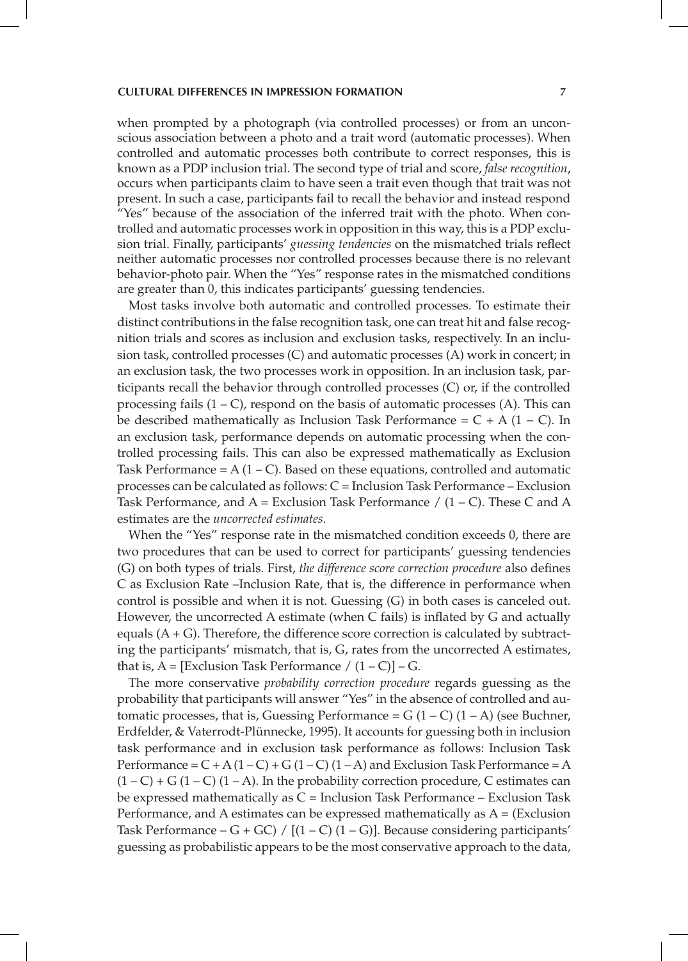when prompted by a photograph (via controlled processes) or from an unconscious association between a photo and a trait word (automatic processes). When controlled and automatic processes both contribute to correct responses, this is known as a PDP inclusion trial. The second type of trial and score, *false recognition*, occurs when participants claim to have seen a trait even though that trait was not present. In such a case, participants fail to recall the behavior and instead respond "Yes" because of the association of the inferred trait with the photo. When controlled and automatic processes work in opposition in this way, this is a PDP exclusion trial. Finally, participants' *guessing tendencies* on the mismatched trials reflect neither automatic processes nor controlled processes because there is no relevant behavior-photo pair. When the "Yes" response rates in the mismatched conditions are greater than 0, this indicates participants' guessing tendencies.

Most tasks involve both automatic and controlled processes. To estimate their distinct contributions in the false recognition task, one can treat hit and false recognition trials and scores as inclusion and exclusion tasks, respectively. In an inclusion task, controlled processes (C) and automatic processes (A) work in concert; in an exclusion task, the two processes work in opposition. In an inclusion task, participants recall the behavior through controlled processes (C) or, if the controlled processing fails  $(1 - C)$ , respond on the basis of automatic processes  $(A)$ . This can be described mathematically as Inclusion Task Performance =  $C + A (1 - C)$ . In an exclusion task, performance depends on automatic processing when the controlled processing fails. This can also be expressed mathematically as Exclusion Task Performance =  $A(1 - C)$ . Based on these equations, controlled and automatic processes can be calculated as follows: C = Inclusion Task Performance – Exclusion Task Performance, and  $A = Exclusion$  Task Performance  $/ (1 - C)$ . These C and A estimates are the *uncorrected estimates*.

When the "Yes" response rate in the mismatched condition exceeds 0, there are two procedures that can be used to correct for participants' guessing tendencies (G) on both types of trials. First, *the difference score correction procedure* also defines C as Exclusion Rate –Inclusion Rate, that is, the difference in performance when control is possible and when it is not. Guessing (G) in both cases is canceled out. However, the uncorrected A estimate (when C fails) is inflated by G and actually equals  $(A + G)$ . Therefore, the difference score correction is calculated by subtracting the participants' mismatch, that is, G, rates from the uncorrected A estimates, that is,  $A = [Exclusion Task Performance / (1 - C)] - G.$ 

The more conservative *probability correction procedure* regards guessing as the probability that participants will answer "Yes" in the absence of controlled and automatic processes, that is, Guessing Performance =  $G(1 - C)(1 - A)$  (see Buchner, Erdfelder, & Vaterrodt-Plünnecke, 1995). It accounts for guessing both in inclusion task performance and in exclusion task performance as follows: Inclusion Task Performance =  $C + A(1 - C) + G(1 - C)(1 - A)$  and Exclusion Task Performance = A  $(1 – C) + G (1 – C) (1 – A)$ . In the probability correction procedure, C estimates can be expressed mathematically as  $C =$  Inclusion Task Performance – Exclusion Task Performance, and A estimates can be expressed mathematically as A = (Exclusion Task Performance – G + GC) /  $[(1 – C) (1 – G)]$ . Because considering participants' guessing as probabilistic appears to be the most conservative approach to the data,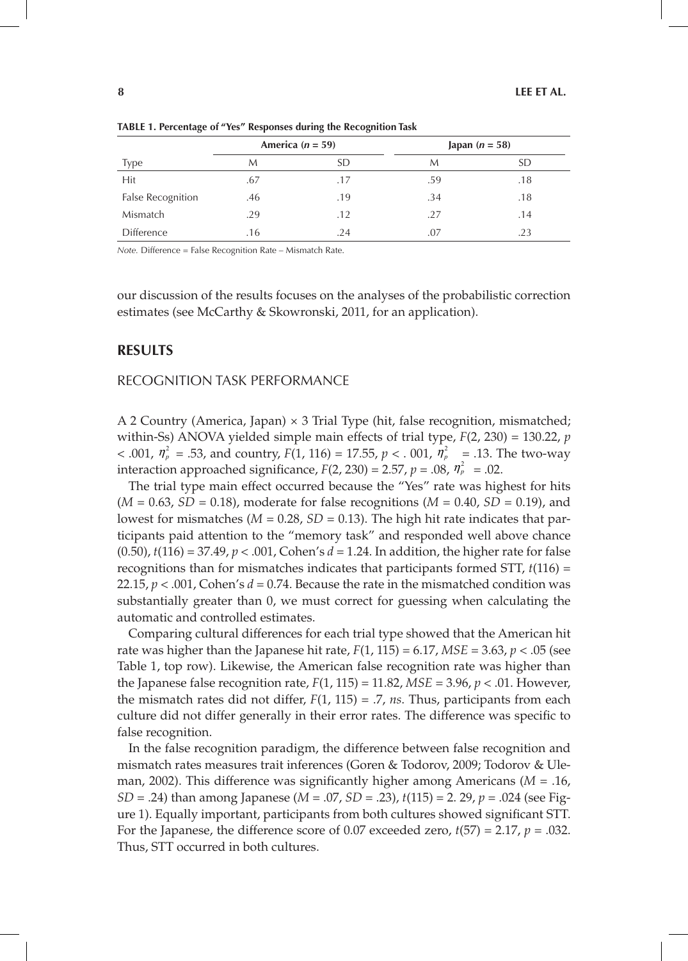|                          | America ( $n = 59$ ) |     | Japan $(n = 58)$ |     |
|--------------------------|----------------------|-----|------------------|-----|
| <b>Type</b>              | М                    | SD  | М                | SD  |
| Hit                      | .67                  | .17 | .59              | .18 |
| <b>False Recognition</b> | .46                  | .19 | .34              | .18 |
| Mismatch                 | .29                  | .12 | .27              | .14 |
| <b>Difference</b>        | .16                  | .24 | .07              | .23 |

**Table 1. Percentage of "Yes" Responses during the Recognition Task**

*Note.* Difference = False Recognition Rate – Mismatch Rate.

our discussion of the results focuses on the analyses of the probabilistic correction estimates (see McCarthy & Skowronski, 2011, for an application).

### **Results**

#### Recognition Task Performance

A 2 Country (America, Japan)  $\times$  3 Trial Type (hit, false recognition, mismatched; within-Ss) ANOVA yielded simple main effects of trial type, *F*(2, 230) = 130.22, *p*  $< .001, \eta_p^2 = .53$ , and country, *F*(1, 116) = 17.55, *p*  $< .001, \eta_p^2 = .13$ . The two-way interaction approached significance,  $F(2, 230) = 2.57$ ,  $p = .08$ ,  $\eta_p^2 = .02$ .

The trial type main effect occurred because the "Yes" rate was highest for hits (*M* = 0.63, *SD* = 0.18), moderate for false recognitions (*M* = 0.40, *SD* = 0.19), and lowest for mismatches ( $M = 0.28$ ,  $SD = 0.13$ ). The high hit rate indicates that participants paid attention to the "memory task" and responded well above chance (0.50), *t*(116) = 37.49, *p* < .001, Cohen's *d* = 1.24. In addition, the higher rate for false recognitions than for mismatches indicates that participants formed STT, *t*(116) = 22.15,  $p < .001$ , Cohen's  $d = 0.74$ . Because the rate in the mismatched condition was substantially greater than 0, we must correct for guessing when calculating the automatic and controlled estimates.

Comparing cultural differences for each trial type showed that the American hit rate was higher than the Japanese hit rate,  $F(1, 115) = 6.17$ ,  $MSE = 3.63$ ,  $p < .05$  (see Table 1, top row). Likewise, the American false recognition rate was higher than the Japanese false recognition rate,  $F(1, 115) = 11.82$ ,  $MSE = 3.96$ ,  $p < .01$ . However, the mismatch rates did not differ, *F*(1, 115) = .7, *ns*. Thus, participants from each culture did not differ generally in their error rates. The difference was specific to false recognition.

In the false recognition paradigm, the difference between false recognition and mismatch rates measures trait inferences (Goren & Todorov, 2009; Todorov & Uleman, 2002). This difference was significantly higher among Americans (*M* = .16, *SD* = .24) than among Japanese (*M* = .07, *SD* = .23), *t*(115) = 2. 29, *p* = .024 (see Figure 1). Equally important, participants from both cultures showed significant STT. For the Japanese, the difference score of 0.07 exceeded zero,  $t(57) = 2.17$ ,  $p = .032$ . Thus, STT occurred in both cultures.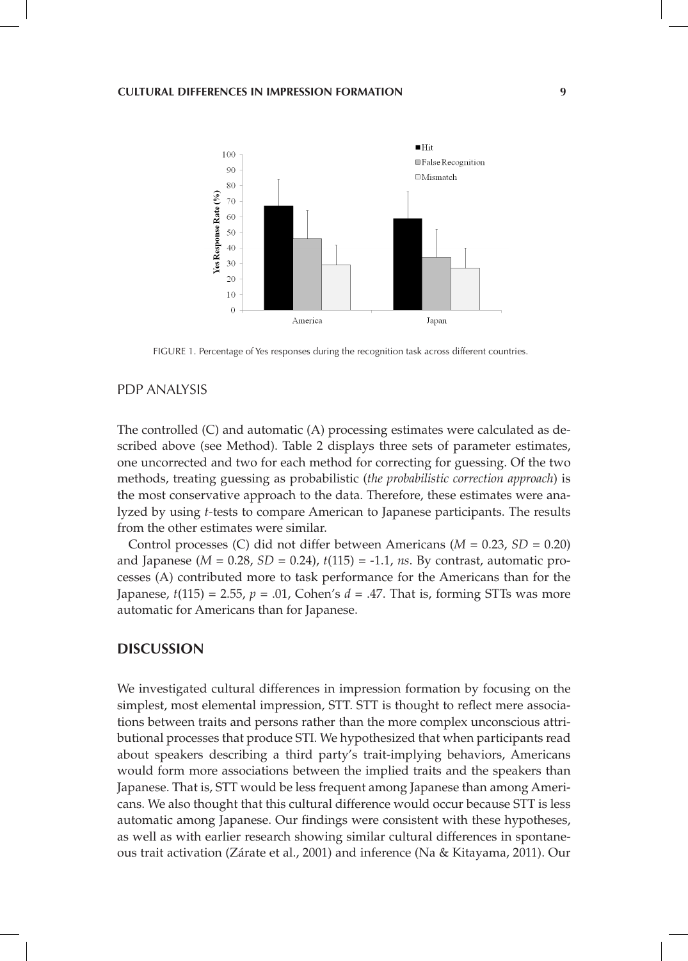

FIGURE 1. Percentage of Yes responses during the recognition task across different countries.

### PDP Analysis

The controlled (C) and automatic (A) processing estimates were calculated as described above (see Method). Table 2 displays three sets of parameter estimates, one uncorrected and two for each method for correcting for guessing. Of the two methods, treating guessing as probabilistic (*the probabilistic correction approach*) is the most conservative approach to the data. Therefore, these estimates were analyzed by using *t-*tests to compare American to Japanese participants. The results from the other estimates were similar.

Control processes (C) did not differ between Americans (*M* = 0.23, *SD* = 0.20) and Japanese (*M* = 0.28, *SD* = 0.24), *t*(115) = -1.1, *ns*. By contrast, automatic processes (A) contributed more to task performance for the Americans than for the Japanese,  $t(115) = 2.55$ ,  $p = .01$ , Cohen's  $d = .47$ . That is, forming STTs was more automatic for Americans than for Japanese.

## **Discussion**

We investigated cultural differences in impression formation by focusing on the simplest, most elemental impression, STT. STT is thought to reflect mere associations between traits and persons rather than the more complex unconscious attributional processes that produce STI. We hypothesized that when participants read about speakers describing a third party's trait-implying behaviors, Americans would form more associations between the implied traits and the speakers than Japanese. That is, STT would be less frequent among Japanese than among Americans. We also thought that this cultural difference would occur because STT is less automatic among Japanese. Our findings were consistent with these hypotheses, as well as with earlier research showing similar cultural differences in spontaneous trait activation (Zárate et al., 2001) and inference (Na & Kitayama, 2011). Our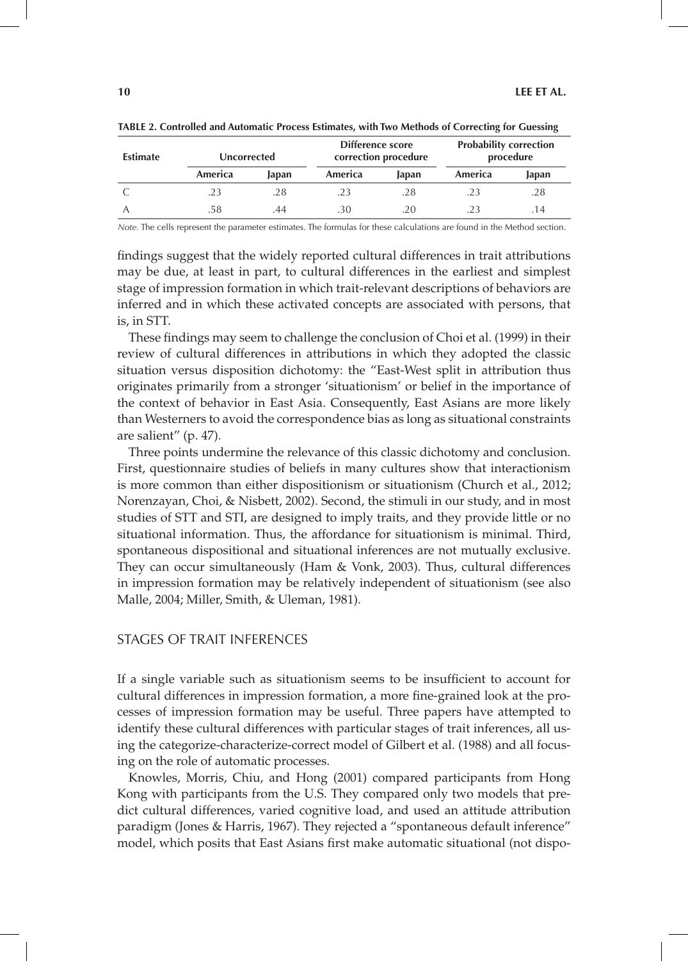| <b>Estimate</b> | Uncorrected |       | Difference score<br>correction procedure |       | <b>Probability correction</b><br>procedure |       |
|-----------------|-------------|-------|------------------------------------------|-------|--------------------------------------------|-------|
|                 | America     | Japan | America                                  | Japan | America                                    | Japan |
|                 | 23          | .28   |                                          | .28   |                                            | .28   |
|                 | .58         | 44    | .30                                      | .20   |                                            | 14    |

**Table 2. Controlled and Automatic Process Estimates, with Two Methods of Correcting for Guessing**

*Note.* The cells represent the parameter estimates. The formulas for these calculations are found in the Method section.

findings suggest that the widely reported cultural differences in trait attributions may be due, at least in part, to cultural differences in the earliest and simplest stage of impression formation in which trait-relevant descriptions of behaviors are inferred and in which these activated concepts are associated with persons, that is, in STT.

These findings may seem to challenge the conclusion of Choi et al. (1999) in their review of cultural differences in attributions in which they adopted the classic situation versus disposition dichotomy: the "East-West split in attribution thus originates primarily from a stronger 'situationism' or belief in the importance of the context of behavior in East Asia. Consequently, East Asians are more likely than Westerners to avoid the correspondence bias as long as situational constraints are salient" (p. 47).

Three points undermine the relevance of this classic dichotomy and conclusion. First, questionnaire studies of beliefs in many cultures show that interactionism is more common than either dispositionism or situationism (Church et al., 2012; Norenzayan, Choi, & Nisbett, 2002). Second, the stimuli in our study, and in most studies of STT and STI, are designed to imply traits, and they provide little or no situational information. Thus, the affordance for situationism is minimal. Third, spontaneous dispositional and situational inferences are not mutually exclusive. They can occur simultaneously (Ham & Vonk, 2003). Thus, cultural differences in impression formation may be relatively independent of situationism (see also Malle, 2004; Miller, Smith, & Uleman, 1981).

#### Stages of Trait Inferences

If a single variable such as situationism seems to be insufficient to account for cultural differences in impression formation, a more fine-grained look at the processes of impression formation may be useful. Three papers have attempted to identify these cultural differences with particular stages of trait inferences, all using the categorize-characterize-correct model of Gilbert et al. (1988) and all focusing on the role of automatic processes.

Knowles, Morris, Chiu, and Hong (2001) compared participants from Hong Kong with participants from the U.S. They compared only two models that predict cultural differences, varied cognitive load, and used an attitude attribution paradigm (Jones & Harris, 1967). They rejected a "spontaneous default inference" model, which posits that East Asians first make automatic situational (not dispo-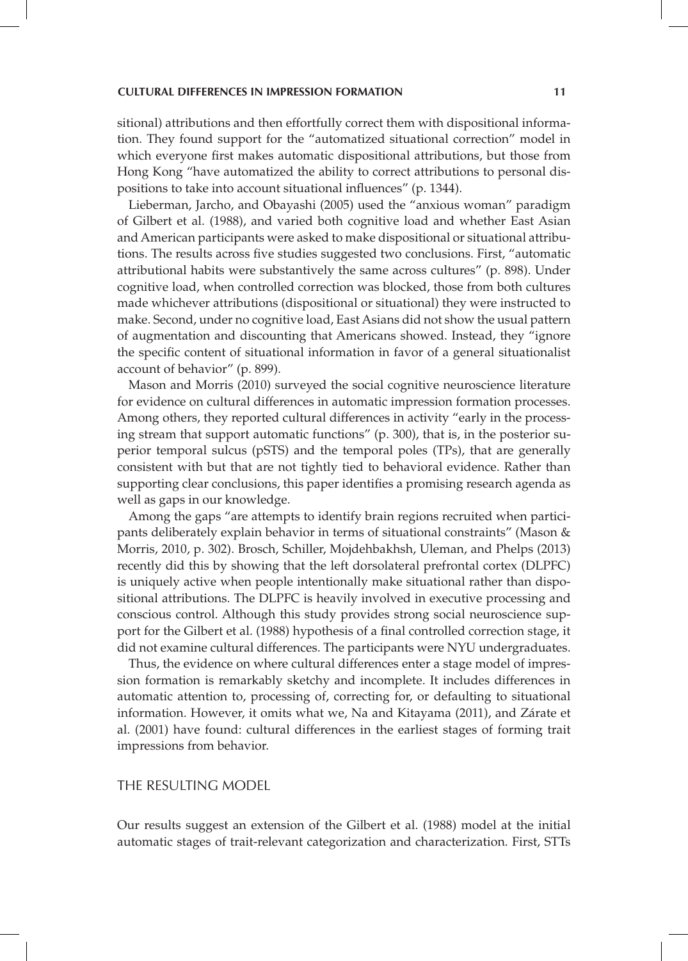sitional) attributions and then effortfully correct them with dispositional information. They found support for the "automatized situational correction" model in which everyone first makes automatic dispositional attributions, but those from Hong Kong "have automatized the ability to correct attributions to personal dispositions to take into account situational influences" (p. 1344).

Lieberman, Jarcho, and Obayashi (2005) used the "anxious woman" paradigm of Gilbert et al. (1988), and varied both cognitive load and whether East Asian and American participants were asked to make dispositional or situational attributions. The results across five studies suggested two conclusions. First, "automatic attributional habits were substantively the same across cultures" (p. 898). Under cognitive load, when controlled correction was blocked, those from both cultures made whichever attributions (dispositional or situational) they were instructed to make. Second, under no cognitive load, East Asians did not show the usual pattern of augmentation and discounting that Americans showed. Instead, they "ignore the specific content of situational information in favor of a general situationalist account of behavior" (p. 899).

Mason and Morris (2010) surveyed the social cognitive neuroscience literature for evidence on cultural differences in automatic impression formation processes. Among others, they reported cultural differences in activity "early in the processing stream that support automatic functions" (p. 300), that is, in the posterior superior temporal sulcus (pSTS) and the temporal poles (TPs), that are generally consistent with but that are not tightly tied to behavioral evidence. Rather than supporting clear conclusions, this paper identifies a promising research agenda as well as gaps in our knowledge.

Among the gaps "are attempts to identify brain regions recruited when participants deliberately explain behavior in terms of situational constraints" (Mason & Morris, 2010, p. 302). Brosch, Schiller, Mojdehbakhsh, Uleman, and Phelps (2013) recently did this by showing that the left dorsolateral prefrontal cortex (DLPFC) is uniquely active when people intentionally make situational rather than dispositional attributions. The DLPFC is heavily involved in executive processing and conscious control. Although this study provides strong social neuroscience support for the Gilbert et al. (1988) hypothesis of a final controlled correction stage, it did not examine cultural differences. The participants were NYU undergraduates.

Thus, the evidence on where cultural differences enter a stage model of impression formation is remarkably sketchy and incomplete. It includes differences in automatic attention to, processing of, correcting for, or defaulting to situational information. However, it omits what we, Na and Kitayama (2011), and Zárate et al. (2001) have found: cultural differences in the earliest stages of forming trait impressions from behavior.

### The Resulting Model

Our results suggest an extension of the Gilbert et al. (1988) model at the initial automatic stages of trait-relevant categorization and characterization. First, STTs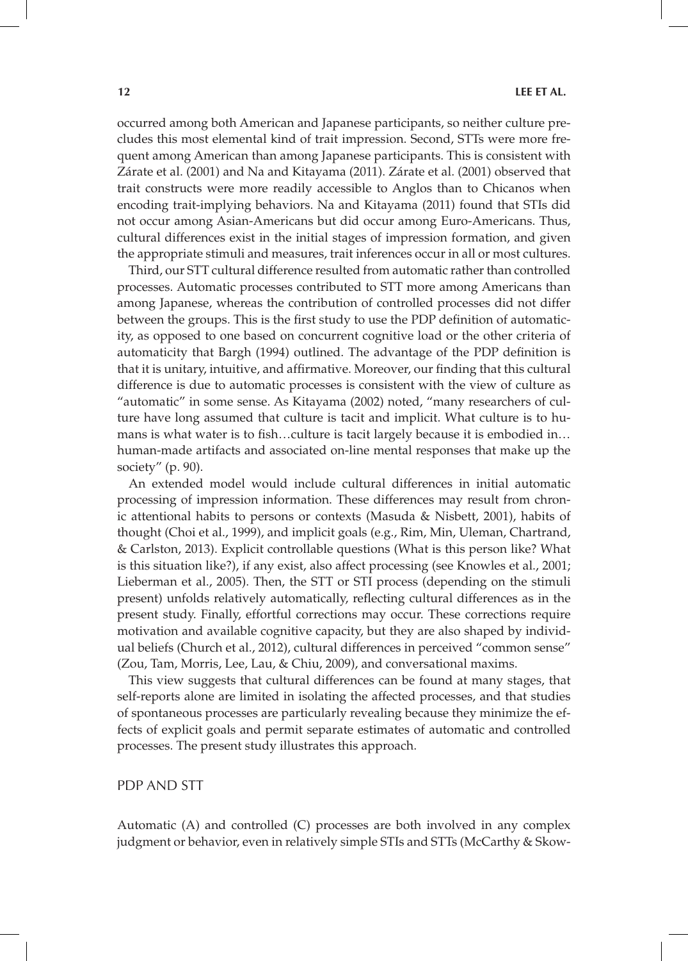occurred among both American and Japanese participants, so neither culture precludes this most elemental kind of trait impression. Second, STTs were more frequent among American than among Japanese participants. This is consistent with Zárate et al. (2001) and Na and Kitayama (2011). Zárate et al. (2001) observed that trait constructs were more readily accessible to Anglos than to Chicanos when encoding trait-implying behaviors. Na and Kitayama (2011) found that STIs did not occur among Asian-Americans but did occur among Euro-Americans. Thus, cultural differences exist in the initial stages of impression formation, and given the appropriate stimuli and measures, trait inferences occur in all or most cultures.

Third, our STT cultural difference resulted from automatic rather than controlled processes. Automatic processes contributed to STT more among Americans than among Japanese, whereas the contribution of controlled processes did not differ between the groups. This is the first study to use the PDP definition of automaticity, as opposed to one based on concurrent cognitive load or the other criteria of automaticity that Bargh (1994) outlined. The advantage of the PDP definition is that it is unitary, intuitive, and affirmative. Moreover, our finding that this cultural difference is due to automatic processes is consistent with the view of culture as "automatic" in some sense. As Kitayama (2002) noted, "many researchers of culture have long assumed that culture is tacit and implicit. What culture is to humans is what water is to fish…culture is tacit largely because it is embodied in… human-made artifacts and associated on-line mental responses that make up the society" (p. 90).

An extended model would include cultural differences in initial automatic processing of impression information. These differences may result from chronic attentional habits to persons or contexts (Masuda & Nisbett, 2001), habits of thought (Choi et al., 1999), and implicit goals (e.g., Rim, Min, Uleman, Chartrand, & Carlston, 2013). Explicit controllable questions (What is this person like? What is this situation like?), if any exist, also affect processing (see Knowles et al., 2001; Lieberman et al., 2005). Then, the STT or STI process (depending on the stimuli present) unfolds relatively automatically, reflecting cultural differences as in the present study. Finally, effortful corrections may occur. These corrections require motivation and available cognitive capacity, but they are also shaped by individual beliefs (Church et al., 2012), cultural differences in perceived "common sense" (Zou, Tam, Morris, Lee, Lau, & Chiu, 2009), and conversational maxims.

This view suggests that cultural differences can be found at many stages, that self-reports alone are limited in isolating the affected processes, and that studies of spontaneous processes are particularly revealing because they minimize the effects of explicit goals and permit separate estimates of automatic and controlled processes. The present study illustrates this approach.

### PDP AND STT

Automatic (A) and controlled (C) processes are both involved in any complex judgment or behavior, even in relatively simple STIs and STTs (McCarthy & Skow-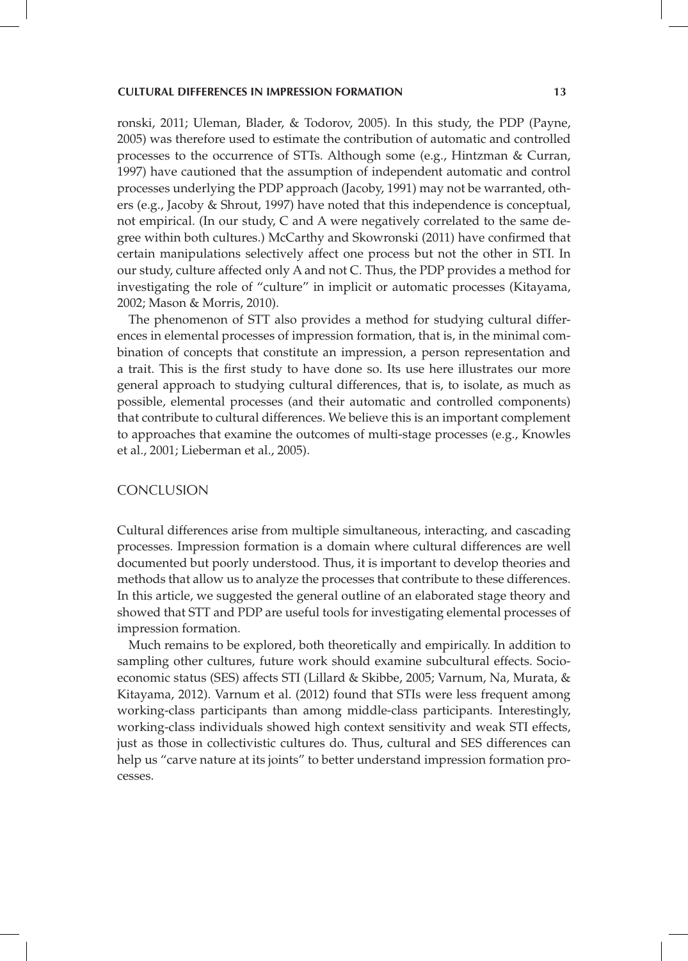ronski, 2011; Uleman, Blader, & Todorov, 2005). In this study, the PDP (Payne, 2005) was therefore used to estimate the contribution of automatic and controlled processes to the occurrence of STTs. Although some (e.g., Hintzman & Curran, 1997) have cautioned that the assumption of independent automatic and control processes underlying the PDP approach (Jacoby, 1991) may not be warranted, others (e.g., Jacoby & Shrout, 1997) have noted that this independence is conceptual, not empirical. (In our study, C and A were negatively correlated to the same degree within both cultures.) McCarthy and Skowronski (2011) have confirmed that certain manipulations selectively affect one process but not the other in STI. In our study, culture affected only A and not C. Thus, the PDP provides a method for investigating the role of "culture" in implicit or automatic processes (Kitayama, 2002; Mason & Morris, 2010).

The phenomenon of STT also provides a method for studying cultural differences in elemental processes of impression formation, that is, in the minimal combination of concepts that constitute an impression, a person representation and a trait. This is the first study to have done so. Its use here illustrates our more general approach to studying cultural differences, that is, to isolate, as much as possible, elemental processes (and their automatic and controlled components) that contribute to cultural differences. We believe this is an important complement to approaches that examine the outcomes of multi-stage processes (e.g., Knowles et al., 2001; Lieberman et al., 2005).

#### **CONCLUSION**

Cultural differences arise from multiple simultaneous, interacting, and cascading processes. Impression formation is a domain where cultural differences are well documented but poorly understood. Thus, it is important to develop theories and methods that allow us to analyze the processes that contribute to these differences. In this article, we suggested the general outline of an elaborated stage theory and showed that STT and PDP are useful tools for investigating elemental processes of impression formation.

Much remains to be explored, both theoretically and empirically. In addition to sampling other cultures, future work should examine subcultural effects. Socioeconomic status (SES) affects STI (Lillard & Skibbe, 2005; Varnum, Na, Murata, & Kitayama, 2012). Varnum et al. (2012) found that STIs were less frequent among working-class participants than among middle-class participants. Interestingly, working-class individuals showed high context sensitivity and weak STI effects, just as those in collectivistic cultures do. Thus, cultural and SES differences can help us "carve nature at its joints" to better understand impression formation processes.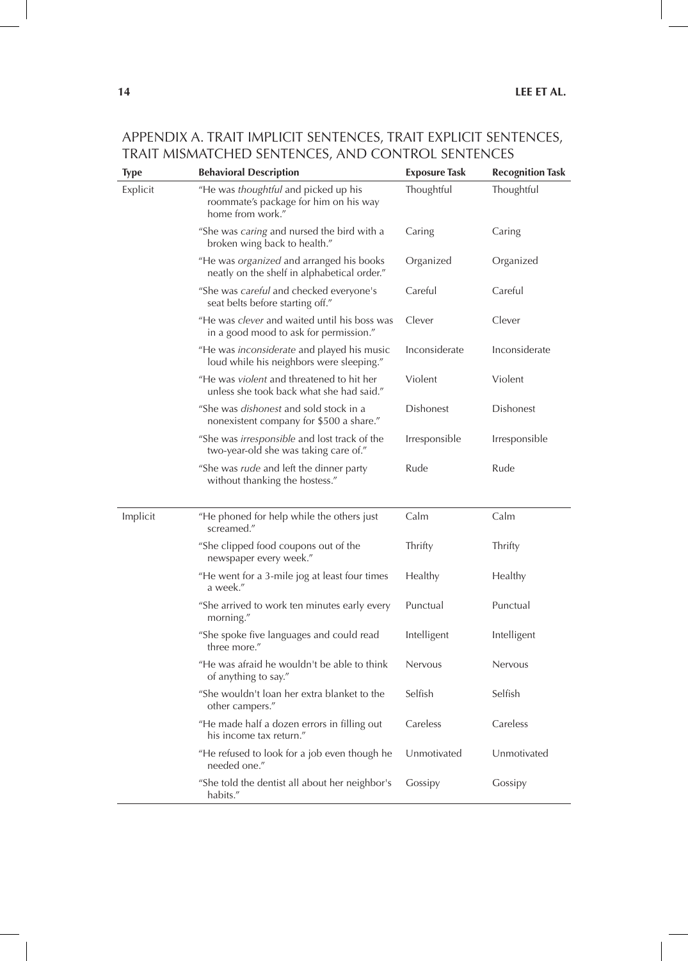| <b>Type</b> | <b>Behavioral Description</b>                                                                     | <b>Exposure Task</b> | <b>Recognition Task</b> |  |
|-------------|---------------------------------------------------------------------------------------------------|----------------------|-------------------------|--|
| Explicit    | "He was thoughtful and picked up his<br>roommate's package for him on his way<br>home from work." | Thoughtful           | Thoughtful              |  |
|             | "She was caring and nursed the bird with a<br>broken wing back to health."                        | Caring               | Caring                  |  |
|             | "He was organized and arranged his books<br>neatly on the shelf in alphabetical order."           | Organized            | Organized               |  |
|             | "She was careful and checked everyone's<br>seat belts before starting off."                       | Careful              | Careful                 |  |
|             | "He was clever and waited until his boss was<br>in a good mood to ask for permission."            | Clever               | Clever                  |  |
|             | "He was <i>inconsiderate</i> and played his music<br>loud while his neighbors were sleeping."     | Inconsiderate        | Inconsiderate           |  |
|             | "He was violent and threatened to hit her<br>unless she took back what she had said."             | Violent              | Violent                 |  |
|             | "She was <i>dishonest</i> and sold stock in a<br>nonexistent company for \$500 a share."          | <b>Dishonest</b>     | <b>Dishonest</b>        |  |
|             | "She was irresponsible and lost track of the<br>two-year-old she was taking care of."             | Irresponsible        | Irresponsible           |  |
|             | "She was <i>rude</i> and left the dinner party<br>without thanking the hostess."                  | Rude                 | Rude                    |  |
| Implicit    | "He phoned for help while the others just<br>screamed."                                           | Calm                 | Calm                    |  |
|             | "She clipped food coupons out of the<br>newspaper every week."                                    | Thrifty              | Thrifty                 |  |
|             | "He went for a 3-mile jog at least four times<br>a week."                                         | Healthy              | Healthy                 |  |
|             | "She arrived to work ten minutes early every<br>morning."                                         | Punctual             | Punctual                |  |
|             | "She spoke five languages and could read<br>three more."                                          | Intelligent          | Intelligent             |  |
|             | "He was afraid he wouldn't be able to think<br>of anything to say."                               | <b>Nervous</b>       | Nervous                 |  |
|             | "She wouldn't loan her extra blanket to the<br>other campers."                                    | Selfish              | Selfish                 |  |
|             | "He made half a dozen errors in filling out<br>his income tax return."                            | Careless             | Careless                |  |
|             | "He refused to look for a job even though he<br>needed one."                                      | Unmotivated          | Unmotivated             |  |
|             | "She told the dentist all about her neighbor's<br>habits."                                        | Gossipy              | Gossipy                 |  |

# Appendix A. Trait Implicit Sentences, Trait Explicit Sentences, Trait Mismatched Sentences, and Control Sentences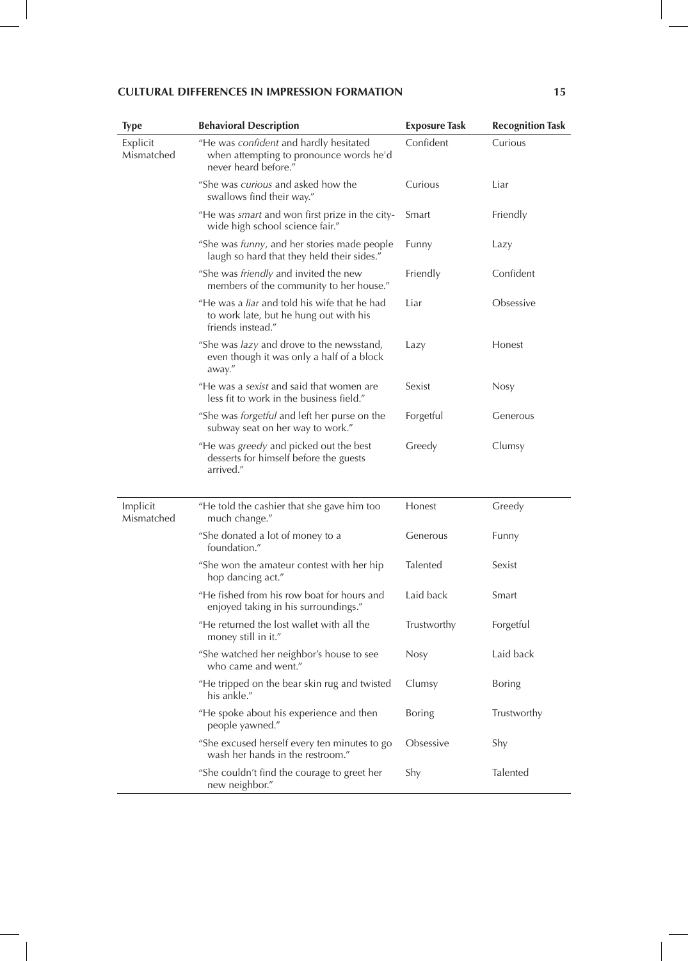| <b>Type</b>            | <b>Behavioral Description</b>                                                                                      | <b>Exposure Task</b> | <b>Recognition Task</b> |  |
|------------------------|--------------------------------------------------------------------------------------------------------------------|----------------------|-------------------------|--|
| Explicit<br>Mismatched | "He was confident and hardly hesitated<br>when attempting to pronounce words he'd<br>never heard before."          | Confident            | Curious                 |  |
|                        | "She was curious and asked how the<br>swallows find their way."                                                    | Curious              | Liar                    |  |
|                        | "He was smart and won first prize in the city-<br>wide high school science fair."                                  | Smart                | Friendly                |  |
|                        | "She was <i>funny</i> , and her stories made people<br>laugh so hard that they held their sides."                  | Funny                | Lazy                    |  |
|                        | "She was <i>friendly</i> and invited the new<br>members of the community to her house."                            | Friendly             | Confident               |  |
|                        | "He was a <i>liar</i> and told his wife that he had<br>to work late, but he hung out with his<br>friends instead." | Liar                 | Obsessive               |  |
|                        | "She was <i>lazy</i> and drove to the newsstand,<br>even though it was only a half of a block<br>away."            | Lazy                 | Honest                  |  |
|                        | "He was a sexist and said that women are<br>less fit to work in the business field."                               | Sexist               | Nosy                    |  |
|                        | "She was <i>forgetful</i> and left her purse on the<br>subway seat on her way to work."                            | Forgetful            | Generous                |  |
|                        | "He was greedy and picked out the best<br>desserts for himself before the guests<br>arrived."                      | Greedy               | Clumsy                  |  |
| Implicit<br>Mismatched | "He told the cashier that she gave him too<br>much change."                                                        | Honest               | Greedy                  |  |
|                        | "She donated a lot of money to a<br>foundation."                                                                   | Generous             | Funny                   |  |
|                        | "She won the amateur contest with her hip<br>hop dancing act."                                                     | Talented             | Sexist                  |  |
|                        | "He fished from his row boat for hours and<br>enjoyed taking in his surroundings."                                 | Laid back            | Smart                   |  |
|                        | "He returned the lost wallet with all the<br>money still in it."                                                   | Trustworthy          | Forgetful               |  |
|                        | "She watched her neighbor's house to see<br>who came and went."                                                    | <b>Nosy</b>          | Laid back               |  |
|                        | "He tripped on the bear skin rug and twisted<br>his ankle."                                                        | Clumsy               | Boring                  |  |
|                        | "He spoke about his experience and then<br>people yawned."                                                         | Boring               | Trustworthy             |  |
|                        | "She excused herself every ten minutes to go<br>wash her hands in the restroom."                                   | Obsessive            | Shy                     |  |
|                        | "She couldn't find the courage to greet her<br>new neighbor."                                                      | Shy                  | Talented                |  |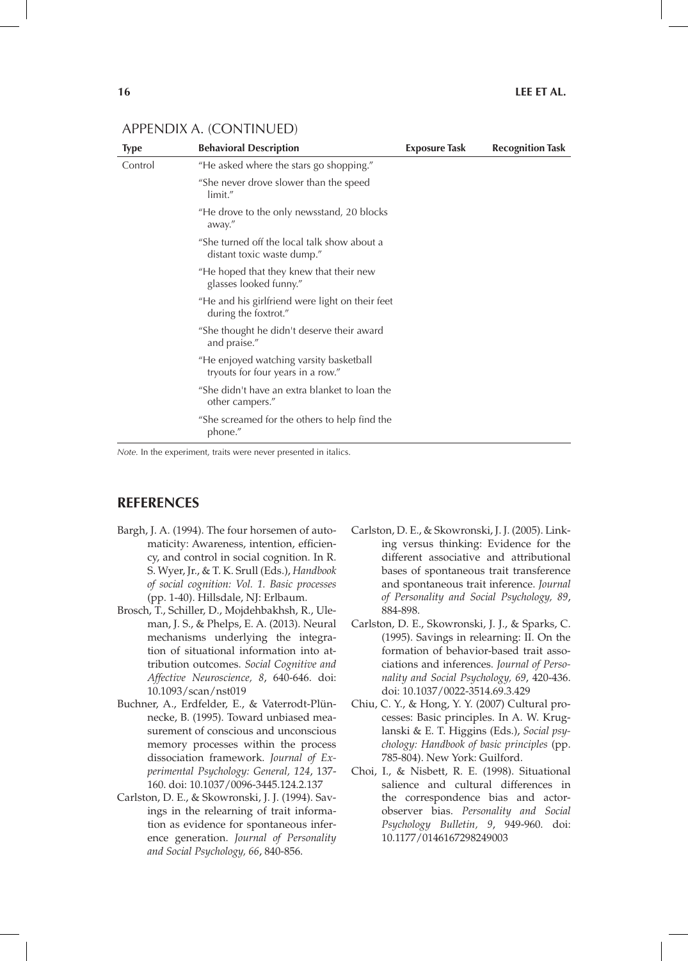| <b>Type</b> | <b>Behavioral Description</b>                                                | <b>Exposure Task</b> | <b>Recognition Task</b> |
|-------------|------------------------------------------------------------------------------|----------------------|-------------------------|
| Control     | "He asked where the stars go shopping."                                      |                      |                         |
|             | "She never drove slower than the speed<br>limit."                            |                      |                         |
|             | "He drove to the only newsstand, 20 blocks<br>away."                         |                      |                         |
|             | "She turned off the local talk show about a<br>distant toxic waste dump."    |                      |                         |
|             | "He hoped that they knew that their new<br>glasses looked funny."            |                      |                         |
|             | "He and his girlfriend were light on their feet<br>during the foxtrot."      |                      |                         |
|             | "She thought he didn't deserve their award<br>and praise."                   |                      |                         |
|             | "He enjoyed watching varsity basketball<br>tryouts for four years in a row." |                      |                         |
|             | "She didn't have an extra blanket to loan the<br>other campers."             |                      |                         |
|             | "She screamed for the others to help find the<br>phone."                     |                      |                         |

### Appendix A. (continued)

*Note.* In the experiment, traits were never presented in italics.

### **References**

- Bargh, J. A. (1994). The four horsemen of automaticity: Awareness, intention, efficiency, and control in social cognition. In R. S. Wyer, Jr., & T. K. Srull (Eds.), *Handbook of social cognition: Vol. 1. Basic processes* (pp. 1-40). Hillsdale, NJ: Erlbaum.
- Brosch, T., Schiller, D., Mojdehbakhsh, R., Uleman, J. S., & Phelps, E. A. (2013). Neural mechanisms underlying the integration of situational information into attribution outcomes. *Social Cognitive and Affective Neuroscience, 8*, 640-646. doi: 10.1093/scan/nst019
- Buchner, A., Erdfelder, E., & Vaterrodt-Plünnecke, B. (1995). Toward unbiased measurement of conscious and unconscious memory processes within the process dissociation framework. *Journal of Experimental Psychology: General, 124*, 137- 160. doi: 10.1037/0096-3445.124.2.137
- Carlston, D. E., & Skowronski, J. J. (1994). Savings in the relearning of trait information as evidence for spontaneous inference generation. *Journal of Personality and Social Psychology, 66*, 840-856.
- Carlston, D. E., & Skowronski, J. J. (2005). Linking versus thinking: Evidence for the different associative and attributional bases of spontaneous trait transference and spontaneous trait inference. *Journal of Personality and Social Psychology, 89*, 884-898.
- Carlston, D. E., Skowronski, J. J., & Sparks, C. (1995). Savings in relearning: II. On the formation of behavior-based trait associations and inferences. *Journal of Personality and Social Psychology, 69*, 420-436. doi: 10.1037/0022-3514.69.3.429
- Chiu, C. Y., & Hong, Y. Y. (2007) Cultural processes: Basic principles. In A. W. Kruglanski & E. T. Higgins (Eds.), *Social psychology: Handbook of basic principles* (pp. 785-804). New York: Guilford.
- Choi, I., & Nisbett, R. E. (1998). Situational salience and cultural differences in the correspondence bias and actorobserver bias. *Personality and Social Psychology Bulletin, 9*, 949-960. doi: 10.1177/0146167298249003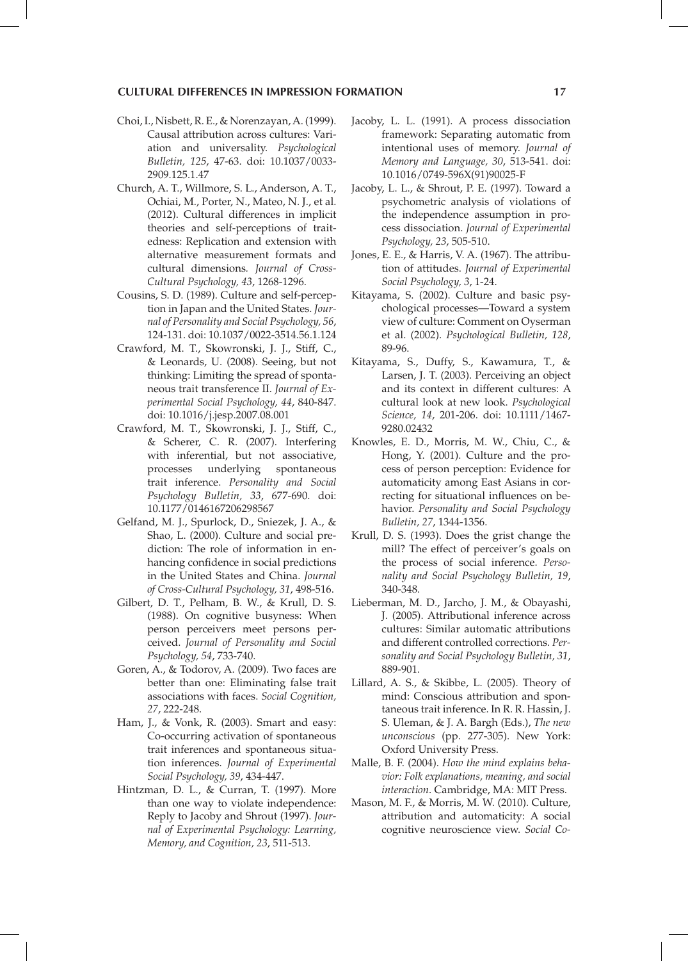- Choi, I., Nisbett, R. E., & Norenzayan, A. (1999). Causal attribution across cultures: Variation and universality. *Psychological Bulletin, 125*, 47-63. doi: 10.1037/0033- 2909.125.1.47
- Church, A. T., Willmore, S. L., Anderson, A. T., Ochiai, M., Porter, N., Mateo, N. J., et al. (2012). Cultural differences in implicit theories and self-perceptions of traitedness: Replication and extension with alternative measurement formats and cultural dimensions*. Journal of Cross-Cultural Psychology, 43*, 1268-1296.
- Cousins, S. D. (1989). Culture and self-perception in Japan and the United States. *Journal of Personality and Social Psychology, 56*, 124-131. doi: 10.1037/0022-3514.56.1.124
- Crawford, M. T., Skowronski, J. J., Stiff, C., & Leonards, U. (2008). Seeing, but not thinking: Limiting the spread of spontaneous trait transference II. *Journal of Experimental Social Psychology, 44*, 840-847. doi: 10.1016/j.jesp.2007.08.001
- Crawford, M. T., Skowronski, J. J., Stiff, C., & Scherer, C. R. (2007). Interfering with inferential, but not associative, processes underlying spontaneous trait inference. *Personality and Social Psychology Bulletin, 33*, 677-690. doi: 10.1177/0146167206298567
- Gelfand, M. J., Spurlock, D., Sniezek, J. A., & Shao, L. (2000). Culture and social prediction: The role of information in enhancing confidence in social predictions in the United States and China. *Journal of Cross-Cultural Psychology, 31*, 498-516.
- Gilbert, D. T., Pelham, B. W., & Krull, D. S. (1988). On cognitive busyness: When person perceivers meet persons perceived. *Journal of Personality and Social Psychology, 54*, 733-740.
- Goren, A., & Todorov, A. (2009). Two faces are better than one: Eliminating false trait associations with faces. *Social Cognition, 27*, 222-248.
- Ham, J., & Vonk, R. (2003). Smart and easy: Co-occurring activation of spontaneous trait inferences and spontaneous situation inferences. *Journal of Experimental Social Psychology, 39*, 434-447.
- Hintzman, D. L., & Curran, T. (1997). More than one way to violate independence: Reply to Jacoby and Shrout (1997). *Journal of Experimental Psychology: Learning, Memory, and Cognition, 23*, 511-513.
- Jacoby, L. L. (1991). A process dissociation framework: Separating automatic from intentional uses of memory. *Journal of Memory and Language, 30*, 513-541. doi: 10.1016/0749-596X(91)90025-F
- Jacoby, L. L., & Shrout, P. E. (1997). Toward a psychometric analysis of violations of the independence assumption in process dissociation. *Journal of Experimental Psychology, 23*, 505-510.
- Jones, E. E., & Harris, V. A. (1967). The attribution of attitudes. *Journal of Experimental Social Psychology, 3*, 1-24.
- Kitayama, S. (2002). Culture and basic psychological processes—Toward a system view of culture: Comment on Oyserman et al. (2002). *Psychological Bulletin, 128*, 89-96.
- Kitayama, S., Duffy, S., Kawamura, T., & Larsen, J. T. (2003). Perceiving an object and its context in different cultures: A cultural look at new look. *Psychological Science, 14*, 201-206. doi: 10.1111/1467- 9280.02432
- Knowles, E. D., Morris, M. W., Chiu, C., & Hong, Y. (2001). Culture and the process of person perception: Evidence for automaticity among East Asians in correcting for situational influences on behavior. *Personality and Social Psychology Bulletin, 27*, 1344-1356.
- Krull, D. S. (1993). Does the grist change the mill? The effect of perceiver's goals on the process of social inference. *Personality and Social Psychology Bulletin, 19*, 340-348.
- Lieberman, M. D., Jarcho, J. M., & Obayashi, J. (2005). Attributional inference across cultures: Similar automatic attributions and different controlled corrections. *Personality and Social Psychology Bulletin, 31*, 889-901.
- Lillard, A. S., & Skibbe, L. (2005). Theory of mind: Conscious attribution and spontaneous trait inference. In R. R. Hassin, J. S. Uleman, & J. A. Bargh (Eds.), *The new unconscious* (pp. 277-305). New York: Oxford University Press.
- Malle, B. F. (2004). *How the mind explains behavior: Folk explanations, meaning, and social interaction*. Cambridge, MA: MIT Press.
- Mason, M. F., & Morris, M. W. (2010). Culture, attribution and automaticity: A social cognitive neuroscience view. *Social Co-*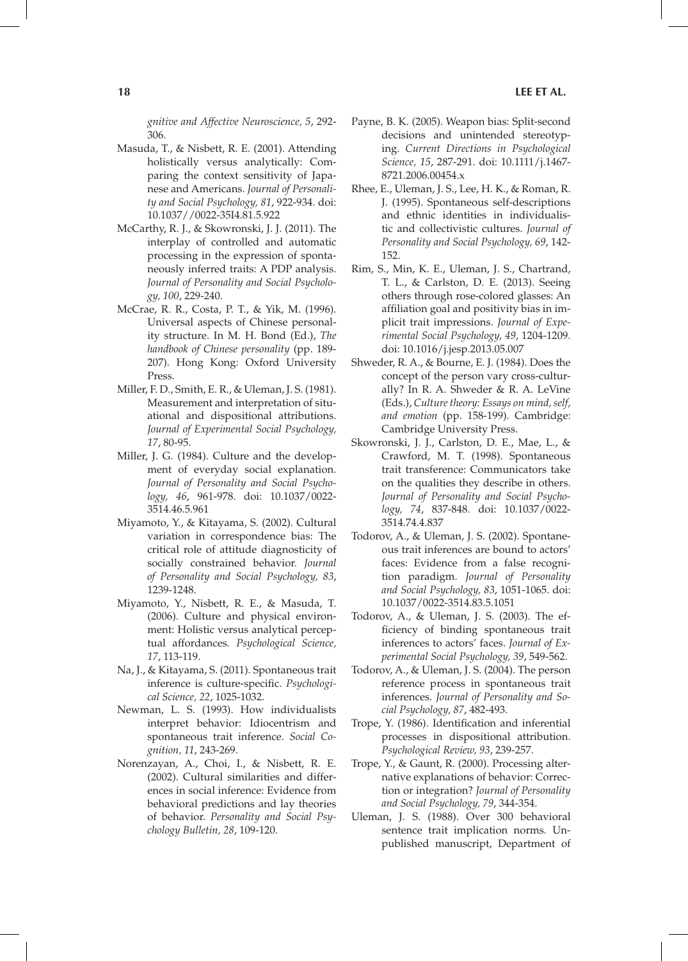*gnitive and Affective Neuroscience, 5*, 292- 306.

- Masuda, T., & Nisbett, R. E. (2001). Attending holistically versus analytically: Comparing the context sensitivity of Japanese and Americans. *Journal of Personality and Social Psychology, 81*, 922-934. doi: 10.1037//0022-35I4.81.5.922
- McCarthy, R. J., & Skowronski, J. J. (2011). The interplay of controlled and automatic processing in the expression of spontaneously inferred traits: A PDP analysis. *Journal of Personality and Social Psychology, 100*, 229-240.
- McCrae, R. R., Costa, P. T., & Yik, M. (1996). Universal aspects of Chinese personality structure. In M. H. Bond (Ed.), *The handbook of Chinese personality* (pp. 189- 207). Hong Kong: Oxford University Press.
- Miller, F. D., Smith, E. R., & Uleman, J. S. (1981). Measurement and interpretation of situational and dispositional attributions. *Journal of Experimental Social Psychology, 17*, 80-95.
- Miller, J. G. (1984). Culture and the development of everyday social explanation. *Journal of Personality and Social Psychology, 46*, 961-978. doi: 10.1037/0022- 3514.46.5.961
- Miyamoto, Y., & Kitayama, S. (2002). Cultural variation in correspondence bias: The critical role of attitude diagnosticity of socially constrained behavior. *Journal of Personality and Social Psychology, 83*, 1239-1248.
- Miyamoto, Y., Nisbett, R. E., & Masuda, T. (2006). Culture and physical environment: Holistic versus analytical perceptual affordances*. Psychological Science, 17*, 113-119.
- Na, J., & Kitayama, S. (2011). Spontaneous trait inference is culture-specific. *Psychological Science, 22*, 1025-1032.
- Newman, L. S. (1993). How individualists interpret behavior: Idiocentrism and spontaneous trait inference. *Social Cognition, 11*, 243-269.
- Norenzayan, A., Choi, I., & Nisbett, R. E. (2002). Cultural similarities and differences in social inference: Evidence from behavioral predictions and lay theories of behavior. *Personality and Social Psychology Bulletin, 28*, 109-120.
- Payne, B. K. (2005). Weapon bias: Split-second decisions and unintended stereotyping. *Current Directions in Psychological Science, 15*, 287-291. doi: 10.1111/j.1467- 8721.2006.00454.x
- Rhee, E., Uleman, J. S., Lee, H. K., & Roman, R. J. (1995). Spontaneous self-descriptions and ethnic identities in individualistic and collectivistic cultures. *Journal of Personality and Social Psychology, 69*, 142- 152.
- Rim, S., Min, K. E., Uleman, J. S., Chartrand, T. L., & Carlston, D. E. (2013). Seeing others through rose-colored glasses: An affiliation goal and positivity bias in implicit trait impressions. *Journal of Experimental Social Psychology, 49*, 1204-1209*.*  doi: 10.1016/j.jesp.2013.05.007
- Shweder, R. A., & Bourne, E. J. (1984). Does the concept of the person vary cross-culturally? In R. A. Shweder & R. A. LeVine (Eds.), *Culture theory: Essays on mind, self, and emotion* (pp. 158-199). Cambridge: Cambridge University Press.
- Skowronski, J. J., Carlston, D. E., Mae, L., & Crawford, M. T. (1998). Spontaneous trait transference: Communicators take on the qualities they describe in others. *Journal of Personality and Social Psychology, 74*, 837-848. doi: 10.1037/0022- 3514.74.4.837
- Todorov, A., & Uleman, J. S. (2002). Spontaneous trait inferences are bound to actors' faces: Evidence from a false recognition paradigm. *Journal of Personality and Social Psychology, 83*, 1051-1065. doi: 10.1037/0022-3514.83.5.1051
- Todorov, A., & Uleman, J. S. (2003). The efficiency of binding spontaneous trait inferences to actors' faces. *Journal of Experimental Social Psychology, 39*, 549-562.
- Todorov, A., & Uleman, J. S. (2004). The person reference process in spontaneous trait inferences. *Journal of Personality and Social Psychology, 87*, 482-493.
- Trope, Y. (1986). Identification and inferential processes in dispositional attribution. *Psychological Review, 93*, 239-257.
- Trope, Y., & Gaunt, R. (2000). Processing alternative explanations of behavior: Correction or integration? *Journal of Personality and Social Psychology, 79*, 344-354.
- Uleman, J. S. (1988). Over 300 behavioral sentence trait implication norms*.* Unpublished manuscript, Department of